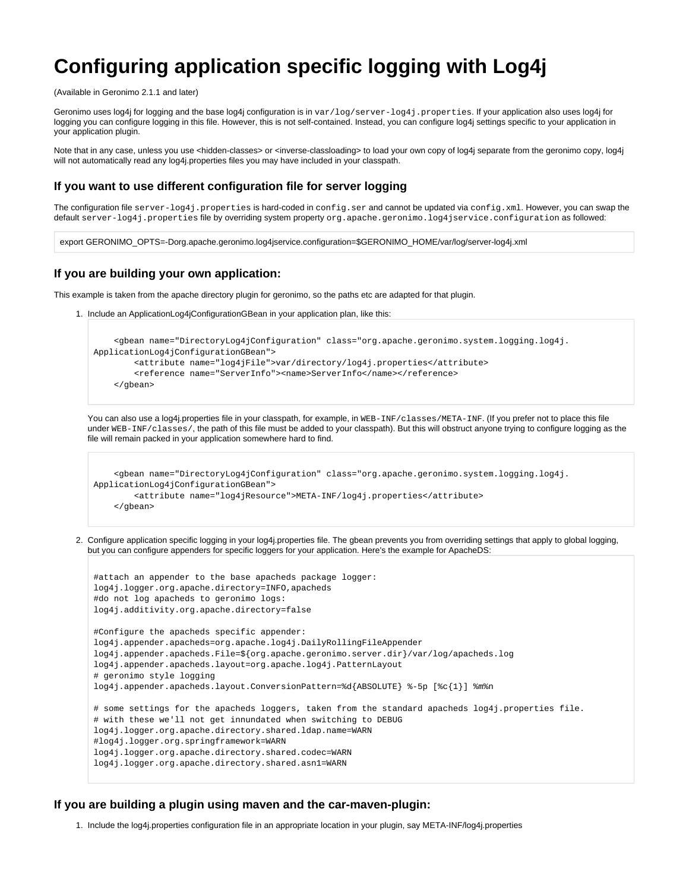# **Configuring application specific logging with Log4j**

(Available in Geronimo 2.1.1 and later)

Geronimo uses log4j for logging and the base log4j configuration is in var/log/server-log4j.properties. If your application also uses log4j for logging you can configure logging in this file. However, this is not self-contained. Instead, you can configure log4j settings specific to your application in your application plugin.

Note that in any case, unless you use <hidden-classes> or <inverse-classloading> to load your own copy of log4j separate from the geronimo copy, log4j will not automatically read any log4j.properties files you may have included in your classpath.

### **If you want to use different configuration file for server logging**

The configuration file server-log4j.properties is hard-coded in config.ser and cannot be updated via config.xml. However, you can swap the default server-log4j.properties file by overriding system property org.apache.geronimo.log4jservice.configuration as followed:

export GERONIMO\_OPTS=-Dorg.apache.geronimo.log4jservice.configuration=\$GERONIMO\_HOME/var/log/server-log4j.xml

#### **If you are building your own application:**

This example is taken from the apache directory plugin for geronimo, so the paths etc are adapted for that plugin.

1. Include an ApplicationLog4jConfigurationGBean in your application plan, like this:

```
 <gbean name="DirectoryLog4jConfiguration" class="org.apache.geronimo.system.logging.log4j.
ApplicationLog4jConfigurationGBean">
         <attribute name="log4jFile">var/directory/log4j.properties</attribute>
         <reference name="ServerInfo"><name>ServerInfo</name></reference>
     </gbean>
```
You can also use a log4i.properties file in your classpath, for example, in WEB-INF/classes/META-INF. (If you prefer not to place this file under WEB-INF/classes/, the path of this file must be added to your classpath). But this will obstruct anyone trying to configure logging as the file will remain packed in your application somewhere hard to find.

```
 <gbean name="DirectoryLog4jConfiguration" class="org.apache.geronimo.system.logging.log4j.
ApplicationLog4jConfigurationGBean">
         <attribute name="log4jResource">META-INF/log4j.properties</attribute>
     </gbean>
```
2. Configure application specific logging in your log4j.properties file. The gbean prevents you from overriding settings that apply to global logging, but you can configure appenders for specific loggers for your application. Here's the example for ApacheDS:

```
#attach an appender to the base apacheds package logger:
log4j.logger.org.apache.directory=INFO,apacheds
#do not log apacheds to geronimo logs:
log4j.additivity.org.apache.directory=false
#Configure the apacheds specific appender:
log4j.appender.apacheds=org.apache.log4j.DailyRollingFileAppender
log4j.appender.apacheds.File=${org.apache.geronimo.server.dir}/var/log/apacheds.log
log4j.appender.apacheds.layout=org.apache.log4j.PatternLayout
# geronimo style logging
log4j.appender.apacheds.layout.ConversionPattern=%d{ABSOLUTE} %-5p [%c{1}] %m%n
# some settings for the apacheds loggers, taken from the standard apacheds log4j.properties file.
# with these we'll not get innundated when switching to DEBUG
log4j.logger.org.apache.directory.shared.ldap.name=WARN
#log4j.logger.org.springframework=WARN
log4j.logger.org.apache.directory.shared.codec=WARN
log4j.logger.org.apache.directory.shared.asn1=WARN
```
#### **If you are building a plugin using maven and the car-maven-plugin:**

1. Include the log4j.properties configuration file in an appropriate location in your plugin, say META-INF/log4j.properties